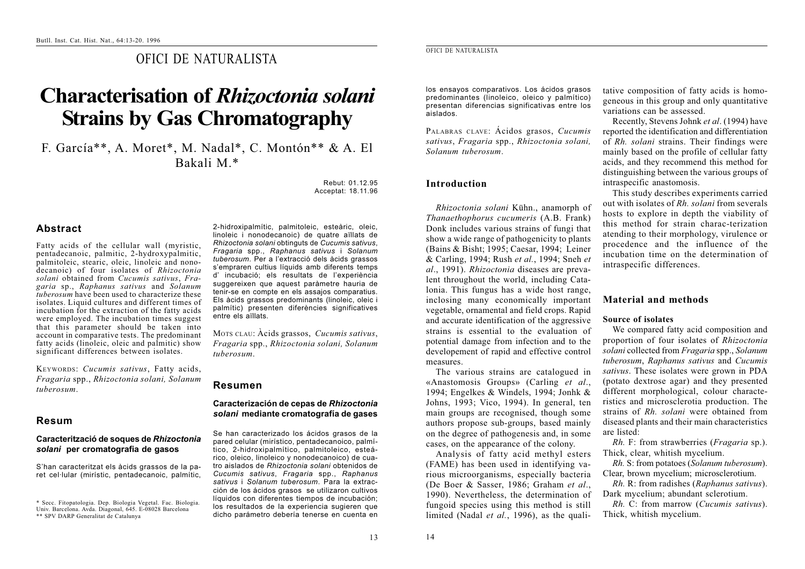# OFICI DE NATURALISTA

# **Characterisation of** *Rhizoctonia solani* **Strains by Gas Chromatography**

F. García\*\*, A. Moret\*, M. Nadal\*, C. Montón\*\* & A. El Bakali M.\*

> Rebut: 01.12.95Acceptat: 18.11.96

# **Abstract**

Fatty acids of the cellular wall (myristic, pentadecanoic, palmitic, 2-hydroxypalmitic, palmitoleic, stearic, oleic, linoleic and nonodecanoic) of four isolates of *Rhizoctonia solani* obtained from *Cucumis sativus*, *Fragaria* sp., *Raphanus sativus* and *Solanum tuberosum* have been used to characterize these isolates. Liquid cultures and different times of incubation for the extraction of the fatty acids were employed. The incubation times suggest that this parameter should be taken into account in comparative tests. The predominant fatty acids (linoleic, oleic and palmitic) show significant differences between isolates.

KEYWORDS: *Cucumis sativus*, Fatty acids, *Fragaria* spp., *Rhizoctonia solani, Solanum tuberosum*.

## **Resum**

#### **Caracterització de soques de** *Rhizoctonia solani* **per cromatografia de gasos**

S'han caracteritzat els àcids grassos de la paret cel·lular (mirístic, pentadecanoic, palmític, 2-hidroxipalmític, palmitoleic, esteàric, oleic, linoleic i nonodecanoic) de quatre aïllats de *Rhizoctonia solani* obtinguts de *Cucumis sativus*, *Fragaria* spp., *Raphanus sativus* i *Solanum tuberosum*. Per a l'extracció dels àcids grassos <sup>s</sup>'empraren cultius líquids amb diferents temps d' incubació; els resultats de l'experiència suggereixen que aquest paràmetre hauria de tenir-se en compte en els assajos comparatius. Els àcids grassos predominants (linoleic, oleic i palmític) presenten diferències significatives entre els aïllats.

MOTS CLAU: Àcids grassos, *Cucumis sativus*, *Fragaria* spp., *Rhizoctonia solani, Solanum tuberosum*.

#### **Resumen**

#### **Caracterización de cepas de** *Rhizoctonia solani* **mediante cromatografía de gases**

Se han caracterizado los ácidos grasos de la pared celular (mirístico, pentadecanoico, palmítico, 2-hidroxipalmítico, palmitoleico, esteárico, oleico, linoleico y nonodecanoico) de cuatro aislados de *Rhizoctonia solani* obtenidos de *Cucumis sativus*, *Fragaria* spp., *Raphanus sativus* i *Solanum tuberosum*. Para la extracción de los ácidos grasos se utilizaron cultivos líquidos con diferentes tiempos de incubación; los resultados de la experiencia sugieren que dicho parámetro debería tenerse en cuenta en

#### OFICI DE NATURALISTA

los ensayos comparativos. Los ácidos grasos predominantes (linoleico, oleico y palmítico) presentan diferencias significativas entre los aislados.

PALABRAS CLAVE: Ácidos grasos, *Cucumis sativus*, *Fragaria* spp., *Rhizoctonia solani, Solanum tuberosum*.

## **Introduction**

*Rhizoctonia solani* Kühn., anamorph of *Thanaethophorus cucumeris* (A.B. Frank) Donk includes various strains of fungi that show a wide range of pathogenicity to plants (Bains & Bisht; 1995; Caesar, 1994; Leiner & Carling, 1994; Rush *et al.*, 1994; Sneh *et al*., 1991). *Rhizoctonia* diseases are prevalent throughout the world, including Catalonia. This fungus has a wide host range, inclosing many economically important vegetable, ornamental and field crops. Rapid and accurate identification of the aggressive strains is essential to the evaluation ofpotential damage from infection and to the developement of rapid and effective control measures.

The various strains are catalogued in «Anastomosis Groups» (Carling *et al*., 1994; Engelkes & Windels, 1994; Jonhk & Johns, 1993; Vico, 1994). In general, ten main groups are recognised, though some authors propose sub-groups, based mainly on the degree of pathogenesis and, in some cases, on the appearance of the colony.

Analysis of fatty acid methyl esters (FAME) has been used in identifying various microorganisms, especially bacteria (De Boer & Sasser, 1986; Graham *et al*., 1990). Nevertheless, the determination of fungoid species using this method is still limited (Nadal *et al.*, 1996), as the qualitative composition of fatty acids is homogeneous in this group and only quantitative variations can be assessed.

Recently, Stevens Johnk *et al*. (1994) have reported the identification and differentiation of *Rh. solani* strains. Their findings were mainly based on the profile of cellular fatty acids, and they recommend this method for distinguishing between the various groups of intraspecific anastomosis.

This study describes experiments carried out with isolates of *Rh. solani* from severals hosts to explore in depth the viability of this method for strain charac-terizationatending to their morphology, virulence or procedence and the influence of the incubation time on the determination ofintraspecific differences.

# **Material and methods**

#### **Source of isolates**

We compared fatty acid composition and proportion of four isolates of *Rhizoctonia solani* collected from *Fragaria* spp., *Solanum tuberosum*, *Raphanus sativus* and *Cucumis sativus*. These isolates were grown in PDA (potato dextrose agar) and they presented different morphological, colour characteristics and microsclerotia production. The strains of *Rh. solani* were obtained fromdiseased plants and their main characteristics are listed:

*Rh.* F: from strawberries (*Fragaria* sp.). Thick, clear, whitish mycelium.

*Rh.* S: from potatoes (*Solanum tuberosum*). Clear, brown mycelium; microsclerotium.

*Rh.* R: from radishes (*Raphanus sativus*). Dark mycelium; abundant sclerotium.

*Rh.* C: from marrow (*Cucumis sativus*). Thick, whitish mycelium.

13

<sup>\*</sup> Secc. Fitopatologia. Dep. Biologia Vegetal. Fac. Biologia. Univ. Barcelona. Avda. Diagonal, 645. E-08028 Barcelona \*\* SPV DARP Generalitat de Catalunya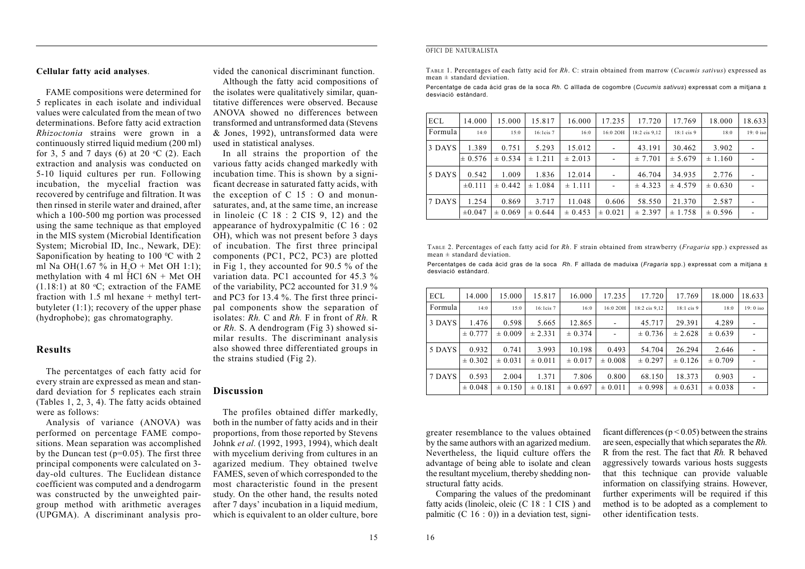#### OFICI DE NATURALISTA

TABLE 1. Percentages of each fatty acid for *Rh*. C: strain obtained from marrow (*Cucumis sativus*) expressed as mean ± standard deviation.

Percentatge de cada àcid gras de la soca *Rh.* C aïllada de cogombre (*Cucumis sativus*) expressat com a mitjana ± desviació estàndard.

| <b>ECL</b> | 14.000      | 15.000      | 15.817         | 16.000      | 17.235                   | 17.720        | 17.769       | 18.000      | 18.633     |
|------------|-------------|-------------|----------------|-------------|--------------------------|---------------|--------------|-------------|------------|
| Formula    | 14:0        | 15:0        | $16:1$ cis $7$ | 16:0        | 16:0 2OH                 | 18:2 cis 9.12 | $18:1$ cis 9 | 18:0        | $19:0$ iso |
| 3 DAYS     | 1.389       | 0.751       | 5.293          | 15.012      | $\overline{\phantom{a}}$ | 43.191        | 30.462       | 3.902       |            |
|            | $\pm 0.576$ | $\pm 0.534$ | ± 1.211        | $\pm 2.013$ | ٠                        | ± 7.701       | ± 5.679      | $\pm 1.160$ |            |
| 5 DAYS     | 0.542       | 1.009       | 1.836          | 12.014      | $\overline{\phantom{a}}$ | 46.704        | 34.935       | 2.776       |            |
|            | $\pm 0.111$ | $\pm 0.442$ | ± 1.084        | ± 1.111     |                          | ± 4.323       | ± 4.579      | $\pm 0.630$ |            |
| 7 DAYS     | 1.254       | 0.869       | 3.717          | 11.048      | 0.606                    | 58.550        | 21.370       | 2.587       |            |
|            | $\pm 0.047$ | $\pm 0.069$ | ± 0.644        | $\pm 0.453$ | $\pm 0.021$              | ± 2.397       | ± 1.758      | $\pm 0.596$ |            |

TABLE 2. Percentages of each fatty acid for *Rh*. F strain obtained from strawberry (*Fragaria* spp.) expressed as mean  $\pm$  standard deviation.

Percentatges de cada àcid gras de la soca *Rh*. F aïllada de maduixa (*Fragaria* spp.) expressat com a mitjana ± desviació estàndard.

| <b>ECL</b> | 14.000      | 15.000      | 15.817      | 16.000      | 17.235      | 17.720        | 17.769       | 18.000      | 18.633     |
|------------|-------------|-------------|-------------|-------------|-------------|---------------|--------------|-------------|------------|
| Formula    | 14:0        | 15:0        | 16:1cis 7   | 16:0        | 16:0 2OH    | 18:2 cis 9.12 | $18:1$ cis 9 | 18:0        | $19:0$ iso |
| 3 DAYS     | 1.476       | 0.598       | 5.665       | 12.865      |             | 45.717        | 29.391       | 4.289       |            |
|            | ± 0.777     | $\pm 0.009$ | ± 2.331     | $\pm 0.374$ |             | $\pm 0.736$   | ± 2.628      | $\pm 0.639$ |            |
| 5 DAYS     | 0.932       | 0.741       | 3.993       | 10.198      | 0.493       | 54.704        | 26.294       | 2.646       |            |
|            | $\pm 0.302$ | $\pm 0.031$ | $\pm 0.011$ | $\pm 0.017$ | $\pm 0.008$ | ± 0.297       | $\pm 0.126$  | $\pm 0.709$ |            |
| 7 DAYS     | 0.593       | 2.004       | 1.371       | 7.806       | 0.800       | 68.150        | 18.373       | 0.903       |            |
|            | $\pm 0.048$ | $\pm 0.150$ | $\pm 0.181$ | $\pm 0.697$ | $\pm 0.011$ | ± 0.998       | $\pm 0.631$  | $\pm 0.038$ |            |

#### greater resemblance to the values obtained by the same authors with an agarized medium. Nevertheless, the liquid culture offers the advantage of being able to isolate and clean the resultant mycelium, thereby shedding nonstructural fatty acids.

Comparing the values of the predominant fatty acids (linoleic, oleic (C 18 : 1 CIS ) and palmitic  $(C 16: 0)$  in a deviation test, signi-

ficant differences ( $p < 0.05$ ) between the strains are seen, especially that which separates the *Rh.* R from the rest. The fact that *Rh.* R behavedaggressively towards various hosts suggests that this technique can provide valuable information on classifying strains. However, further experiments will be required if this method is to be adopted as a complement to other identification tests.

# **Cellular fatty acid analyses**.

FAME compositions were determined for 5 replicates in each isolate and individual values were calculated from the mean of twodeterminations. Before fatty acid extraction *Rhizoctonia* strains were grown in a continuously stirred liquid medium (200 ml) for 3, 5 and 7 days (6) at 20  $^{\circ}$ C (2). Each extraction and analysis was conducted on 5-10 liquid cultures per run. Following incubation, the mycelial fraction was recovered by centrifuge and filtration. It was then rinsed in sterile water and drained, after which a 100-500 mg portion was processed using the same technique as that employed in the MIS system (Microbial Identification System; Microbial ID, Inc., Newark, DE): Saponification by heating to  $100^{\circ}$ C with 2 ml Na OH $(1.67\%$  in H<sub>2</sub>O + Met OH 1:1); methylation with 4 ml  $\text{HCl}$  6N + Met OH  $(1.18:1)$  at 80 °C; extraction of the FAME fraction with  $1.5$  ml hexane + methyl tertbutyleter  $(1:1)$ ; recovery of the upper phase (hydrophobe); gas chromatography.

#### **Results**

The percentatges of each fatty acid for every strain are expressed as mean and standard deviation for 5 replicates each strain (Tables 1, 2, 3, 4). The fatty acids obtained were as follows:

Analysis of variance (ANOVA) was performed on percentage FAME compositions. Mean separation was accomplished by the Duncan test ( $p=0.05$ ). The first three principal components were calculated on 3 day-old cultures. The Euclidean distance coefficient was computed and a dendrogarm was constructed by the unweighted pairgroup method with arithmetic averages (UPGMA). A discriminant analysis provided the canonical discriminant function.Although the fatty acid compositions of

the isolates were qualitatively similar, quan titative differences were observed. BecauseANOVA showed no differences betweentransformed and untransformed data (Stevens & Jones, 1992), untransformed data were used in statistical analyses.

In all strains the proportion of the various fatty acids changed markedly with incubation time. This is shown by a signi ficant decrease in saturated fatty acids, with the exception of  $C$  15 : O and monunsaturates, and, at the same time, an increase in linoleic (C 18 : 2 CIS 9, 12) and the appearance of hydroxypalmitic (C 16 : 02 OH), which was not present before 3 days of incubation. The first three principal components (PC1, PC2, PC3) are plotted in Fig 1, they accounted for 90.5  $\frac{6}{9}$  of the variation data. PC1 accounted for 45.3 %of the variability, PC2 accounted for 31.9 % and PC3 for 13.4 %. The first three princi pal components show the separation of isolates: *Rh.* C and *Rh.* F in front of *Rh.* Ror *Rh.* S. A dendrogram (Fig 3) showed si milar results. The discriminant analysis also showed three differentiated groups in the strains studied (Fig 2).

#### **Discussion**

The profiles obtained differ markedly, both in the number of fatty acids and in their proportions, from those reported by Stevens Johnk *et al.* (1992, 1993, 1994), which dealt with mycelium deriving from cultures in an agarized medium. They obtained twelve FAMES, seven of which corresponded to the most characteristic found in the present study. On the other hand, the results noted after 7 days' incubation in a liquid medium, which is equivalent to an older culture, bore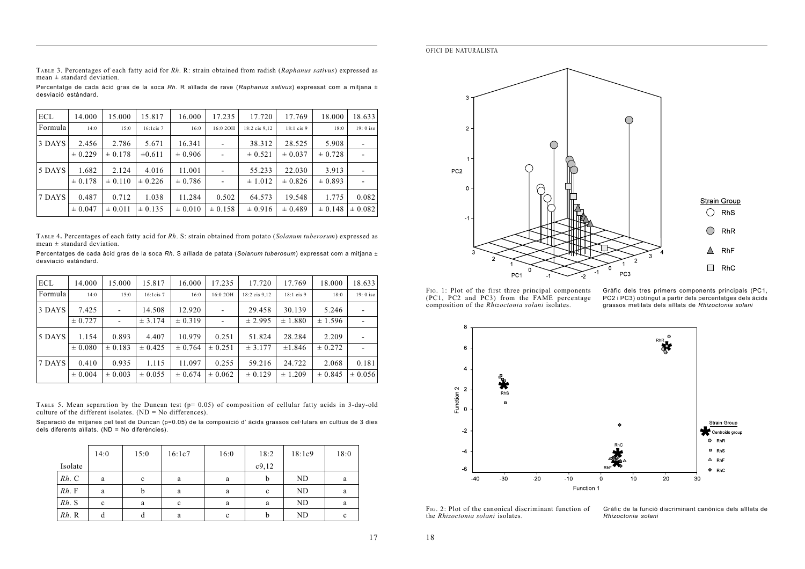**OFICI DE NATURALISTA** 

TABLE 3. Percentages of each fatty acid for Rh. R: strain obtained from radish (Raphanus sativus) expressed as mean + standard deviation

Percentatge de cada àcid gras de la soca Rh. R aïllada de rave (Raphanus sativus) expressat com a mitjana ± desviació estàndard.

| <b>ECL</b> | 14.000      | 15.000      | 15.817      | 16.000      | 17.235      | 17.720        | 17.769       | 18.000      | 18.633                   |
|------------|-------------|-------------|-------------|-------------|-------------|---------------|--------------|-------------|--------------------------|
| Formula    | 14:0        | 15:0        | 16:1cis 7   | 16:0        | 16:0 2OH    | 18:2 cis 9,12 | $18:1$ cis 9 | 18:0        | $19:0$ iso               |
| 3 DAYS     | 2.456       | 2.786       | 5.671       | 16.341      |             | 38.312        | 28.525       | 5.908       |                          |
|            | $\pm 0.229$ | $\pm 0.178$ | $\pm 0.611$ | $\pm 0.906$ |             | $\pm 0.521$   | $\pm 0.037$  | ± 0.728     | $\overline{\phantom{a}}$ |
| 5 DAYS     | 1.682       | 2.124       | 4.016       | 11.001      |             | 55.233        | 22.030       | 3.913       |                          |
|            | $\pm 0.178$ | $\pm 0.110$ | $\pm 0.226$ | $\pm 0.786$ |             | $\pm 1.012$   | $\pm 0.826$  | $\pm 0.893$ |                          |
| 7 DAYS     | 0.487       | 0.712       | 1.038       | 11.284      | 0.502       | 64.573        | 19.548       | 1.775       | 0.082                    |
|            | $\pm 0.047$ | $\pm 0.011$ | $\pm 0.135$ | $\pm 0.010$ | $\pm 0.158$ | $\pm 0.916$   | $\pm 0.489$  | $\pm 0.148$ | $\pm 0.082$              |

TABLE 4. Percentages of each fatty acid for Rh. S: strain obtained from potato (Solanum tuberosum) expressed as  $mean \pm standard deviation.$ 

Percentatges de cada àcid gras de la soca Rh. S aïllada de patata (Solanum tuberosum) expressat com a mitjana ± desviació estàndard.

| <b>ECL</b> | 14.000      | 15.000                   | 15.817         | 16.000      | 17.235      | 17.720        | 17.769       | 18.000      | 18.633      |
|------------|-------------|--------------------------|----------------|-------------|-------------|---------------|--------------|-------------|-------------|
| Formula    | 14:0        | 15:0                     | $16:1$ cis $7$ | 16:0        | 16:0 2OH    | 18:2 cis 9.12 | $18:1$ cis 9 | 18:0        | $19:0$ iso  |
| 3 DAYS     | 7.425       | $\overline{\phantom{a}}$ | 14.508         | 12.920      |             | 29.458        | 30.139       | 5.246       |             |
|            | ± 0.727     | $\overline{\phantom{a}}$ | ± 3.174        | $\pm 0.319$ |             | ± 2.995       | $\pm 1.880$  | ± 1.596     |             |
| 5 DAYS     | 1.154       | 0.893                    | 4.407          | 10.979      | 0.251       | 51.824        | 28.284       | 2.209       |             |
|            | $\pm 0.080$ | $\pm 0.183$              | $\pm 0.425$    | $\pm 0.764$ | $\pm 0.251$ | ± 3.177       | ±1.846       | $\pm 0.272$ |             |
| 7 DAYS     | 0.410       | 0.935                    | 1.115          | 11.097      | 0.255       | 59.216        | 24.722       | 2.068       | 0.181       |
|            | $\pm 0.004$ | $\pm 0.003$              | $\pm 0.055$    | $\pm 0.674$ | $\pm 0.062$ | $\pm 0.129$   | $\pm 1.209$  | $\pm 0.845$ | $\pm 0.056$ |

TABLE 5. Mean separation by the Duncan test ( $p=0.05$ ) of composition of cellular fatty acids in 3-day-old culture of the different isolates. ( $ND = No$  differences).

Separació de mitjanes pel test de Duncan (p=0.05) de la composició d'àcids grassos cel·lulars en cultius de 3 dies dels diferents aïliats. (ND = No diferències).

|            | 14:0        | 15:0        | 16:1c7      | 16:0 | 18:2  | 18:1c9    | 18:0 |
|------------|-------------|-------------|-------------|------|-------|-----------|------|
| Isolate    |             |             |             |      | c9,12 |           |      |
| $Rh$ . $C$ | a           | $\mathbf c$ | a           | a    | b     | ND        | a    |
| Rh. F      | a           | b           | a           | a    | c     | <b>ND</b> | a    |
| Rh. S      | $\mathbf c$ | a           | $\mathbf c$ | a    | a     | ND        | a    |
| $Rh$ . R   | d           | d           | a           | c    | b     | ND        | c    |



FIG. 1: Plot of the first three principal components (PC1, PC2 and PC3) from the FAME percentage composition of the Rhizoctonia solani isolates.

Gràfic dels tres primers components principals (PC1, PC2 i PC3) obtingut a partir dels percentatges dels àcids grassos metilats dels aïllats de Rhizoctonia solani



F<sub>IG</sub>. 2: Plot of the canonical discriminant function of the Rhizoctonia solani isolates.

Gràfic de la funció discriminant canònica dels aïllats de Rhizoctonia solani

18

17